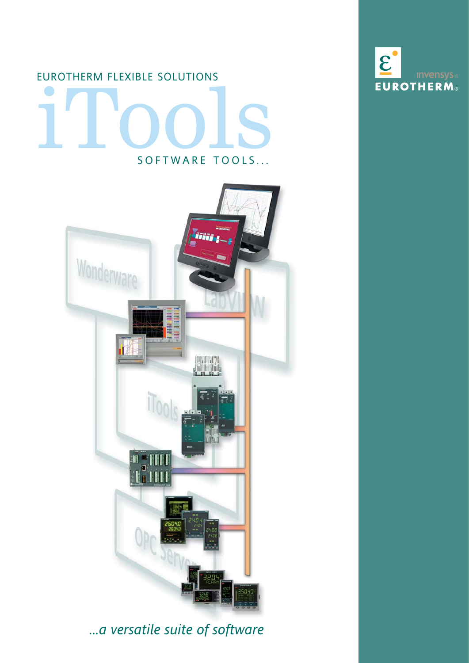## iTools SOFTWARE TOOLS... EUROTHERM FLEXIBLE SOLUTIONS



## *...a versatile suite of software*

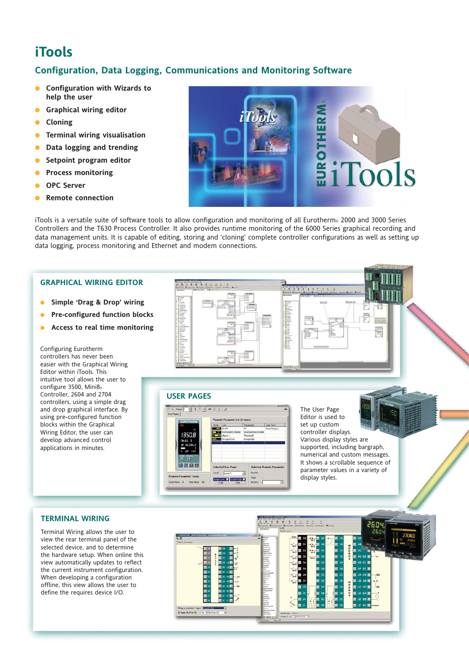## **iTools**

#### **Configuration, Data Logging, Communications and Monitoring Software**

- **Configuration with Wizards to help the user**
- **Graphical wiring editor**
- **Cloning**
- **Terminal wiring visualisation**
- **Data logging and trending**
- **Setpoint program editor**
- **Process monitoring**
- **OPC Server**
- **Remote connection**

NEW WARDEN

iTools is a versatile suite of software tools to allow configuration and monitoring of all Eurotherm® 2000 and 3000 Series Controllers and the T630 Process Controller. It also provides runtime monitoring of the 6000 Series graphical recording and data management units. It is capable of editing, storing and 'cloning' complete controller configurations as well as setting up data logging, process monitoring and Ethernet and modem connections.

#### **GRAPHICAL WIRING EDITOR**

- **Simple 'Drag & Drop' wiring**
- **Pre-configured function blocks**
- **Access to real time monitoring**

Configuring Eurotherm controllers has never been easier with the Graphical Wiring Editor within iTools. This intuitive tool allows the user to configure 3500, Mini8® Controller, 2604 and 2704 controllers, using a simple drag and drop graphical interface. By using pre-configured function blocks within the Graphical Wiring Editor, the user can develop advanced control applications in minutes.

# **THEFT OF** Ē ŧ.

**USER PAGES**



The User Page Editor is used to set up custom controller displays. Various display styles are supported, including bargraph, numerical and custom messages. It shows a scrollable sequence of parameter values in a variety of display styles.



**TERMINAL WIRING**

Terminal Wiring allows the user to view the rear terminal panel of the selected device, and to determine the hardware setup. When online this view automatically updates to reflect the current instrument configuration. When developing a configuration offline, this view allows the user to define the requires device I/O.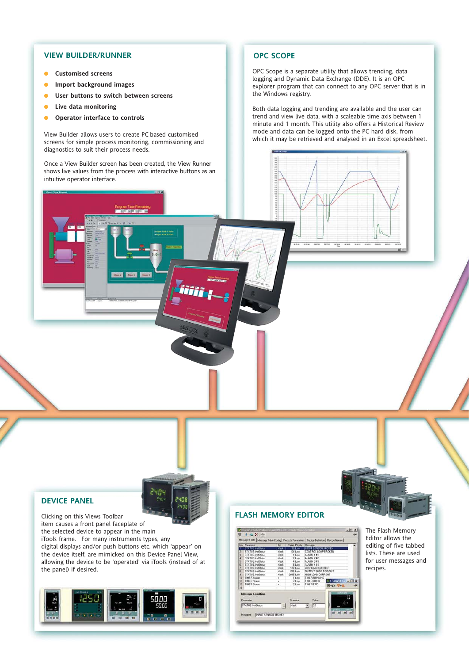#### **VIEW BUILDER/RUNNER**

- **Customised screens**
- **Import background images**
- **User buttons to switch between screens**
- **Live data monitoring**
- **Operator interface to controls**

View Builder allows users to create PC based customised screens for simple process monitoring, commissioning and diagnostics to suit their process needs.

Once a View Builder screen has been created, the View Runner shows live values from the process with interactive buttons as an intuitive operator interface.

iiif

#### **OPC SCOPE**

.......

OPC Scope is a separate utility that allows trending, data logging and Dynamic Data Exchange (DDE). It is an OPC explorer program that can connect to any OPC server that is in the Windows registry.

Both data logging and trending are available and the user can trend and view live data, with a scaleable time axis between 1 minute and 1 month. This utility also offers a Historical Review mode and data can be logged onto the PC hard disk, from which it may be retrieved and analysed in an Excel spreadsheet.

#### **DEVICE PANEL**

Clicking on this Views Toolbar item causes a front panel faceplate of the selected device to appear in the main iTools frame. For many instruments types, any digital displays and/or push buttons etc. which 'appear' on the device itself, are mimicked on this Device Panel View, allowing the device to be 'operated' via iTools (instead of at the panel) if desired.

2404

2401



#### **FLASH MEMORY EDITOR**



The Flash Memory Editor allows the editing of five tabbed lists. These are used for user messages and recipes.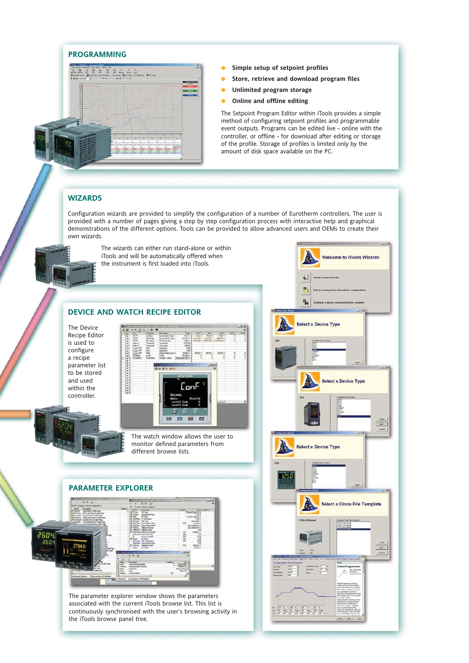#### **PROGRAMMING**



- **Simple setup of setpoint profiles**
- **Store, retrieve and download program files**
- **Unlimited program storage**
- **Online and offline editing**

The Setpoint Program Editor within iTools provides a simple method of configuring setpoint profiles and programmable event outputs. Programs can be edited live - online with the controller, or offline - for download after editing or storage of the profile. Storage of profiles is limited only by the amount of disk space available on the PC.

#### **WIZARDS**

Configuration wizards are provided to simplify the configuration of a number of Eurotherm controllers. The user is provided with a number of pages giving a step by step configuration process with interactive help and graphical demonstrations of the different options. Tools can be provided to allow advanced users and OEMs to create their own wizards.



The wizards can either run stand-alone or within iTools and will be automatically offered when the instrument is first loaded into iTools.

#### **DEVICE AND WATCH RECIPE EDITOR**

The Device Recipe Editor is used to configure a recipe parameter list to be stored and used within the controller.



The watch window allows the user to monitor defined parameters from different browse lists.

## **PARAMETER EXPLORER** 260 3

**William** 

The parameter explorer window shows the parameters associated with the current iTools browse list. This list is continuously synchronised with the user's browsing activity in the iTools browse panel tree.

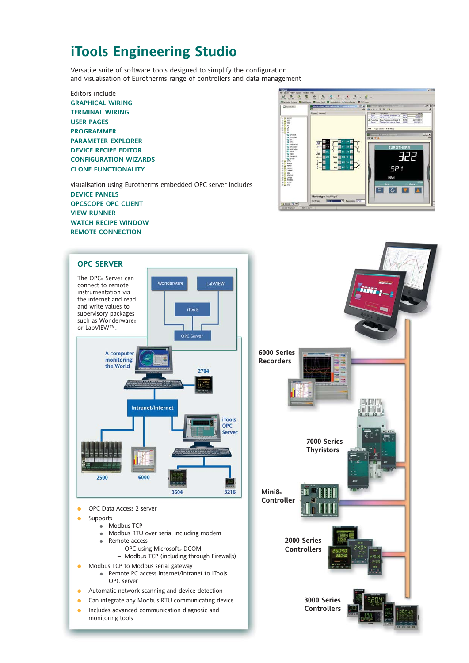## **iTools Engineering Studio**

Versatile suite of software tools designed to simplify the configuration and visualisation of Eurotherms range of controllers and data management

Editors include **GRAPHICAL WIRING TERMINAL WIRING USER PAGES PROGRAMMER PARAMETER EXPLORER DEVICE RECIPE EDITOR CONFIGURATION WIZARDS CLONE FUNCTIONALITY**

visualisation using Eurotherms embedded OPC server includes **DEVICE PANELS OPCSCOPE OPC CLIENT VIEW RUNNER WATCH RECIPE WINDOW REMOTE CONNECTION**





monitoring tools

● Includes advanced communication diagnosic and **Controllers**